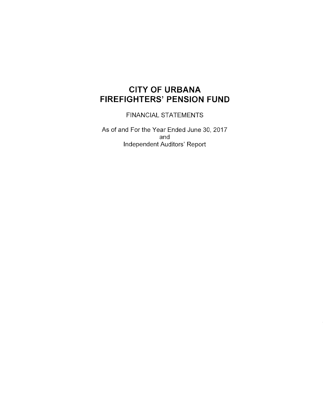# **CITY OF URBANA FIREFIGHTERS' PENSION FUND**

FINANCIAL STATEMENTS

As of and For the Year Ended June 30, 2017 and Independent Auditors' Report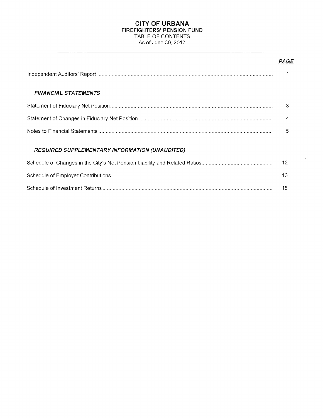# **CITY OF URBANA FIREFIGHTERS' PENSION FUND**  TABLE OF CONTENTS As of June 30, 2017

# PAGE

| <b>FINANCIAL STATEMENTS</b>                           |     |
|-------------------------------------------------------|-----|
|                                                       | 3   |
|                                                       | 4   |
|                                                       | 5   |
| <b>REQUIRED SUPPLEMENTARY INFORMATION (UNAUDITED)</b> |     |
|                                                       | -12 |
|                                                       | 13  |
|                                                       | 15  |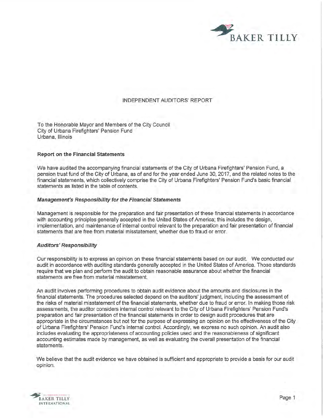

# INDEPENDENT AUDITORS' REPORT

To the Honorable Mayor and Members of the City Council City of Urbana Firefighters' Pension Fund Urbana, Illinois

#### **Report on the Financial Statements**

We have audited the accompanying financial statements of the City of Urbana Firefighters' Pension Fund, a pension trust fund of the City of Urbana, as of and for the year ended June 30, 2017, and the related notes to the financial statements, which collectively comprise the City of Urbana Firefighters' Pension Fund's basic financial statements as listed in the table of contents.

#### **Management's Responsibility for the Financial Statements**

Management is responsible for the preparation and fair presentation of these financial statements in accordance with accounting principles generally accepted in the United States of America; this includes the design, implementation, and maintenance of internal control relevant to the preparation and fair presentation of financial statements that are free from material misstatement, whether due to fraud or error.

#### **Auditors' Responsibility**

Our responsibility is to express an opinion on these financial statements based on our audit. We conducted our audit in accordance with auditing standards generally accepted in the United States of America. Those standards require that we plan and perform the audit to obtain reasonable assurance about whether the financial statements are free from material misstatement.

An audit involves performing procedures to obtain audit evidence about the amounts and disclosures in the financial statements. The procedures selected depend on the auditors' judgment, including the assessment of the risks of material misstatement of the financial statements, whether due to fraud or error. In making those risk assessments, the auditor considers internal control relevant to the City of Urbana Firefighters' Pension Fund's preparation and fair presentation of the financial statements in order to design audit procedures that are appropriate in the circumstances but not for the purpose of expressing an opinion on the effectiveness of the City of Urbana Firefighters' Pension Fund's internal control. Accordingly, we express no such opinion. An audit also includes evaluating the appropriateness of accounting policies used and the reasonableness of significant accounting estimates made by management, as well as evaluating the overall presentation of the financial statements.

We believe that the audit evidence we have obtained is sufficient and appropriate to provide a basis for our audit opinion.

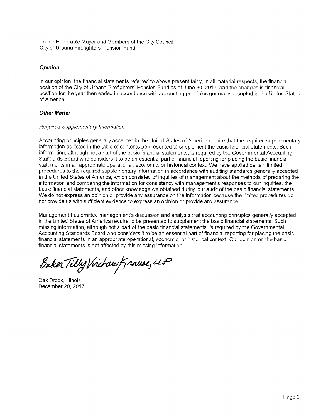To the Honorable Mayor and Members of the City Council City of Urbana Firefighters' Pension Fund

# **Opinion**

In our opinion, the financial statements referred to above present fairly, in all material respects, the financial position of the City of Urbana Firefighters' Pension Fund as of June 30, 2017, and the changes in financial position for the year then ended in accordance with accounting principles generally accepted in the United States of America.

# **Other Matter**

# Required Supplementary Information

Accounting principles generally accepted in the United States of America require that the required supplementary information as listed in the table of contents be presented to supplement the basic financial statements. Such information, although not a part of the basic financial statements, is required by the Governmental Accounting Standards Board who considers it to be an essential part of financial reporting for placing the basic financial statements in an appropriate operational, economic, or historical context. We have applied certain limited procedures to the required supplementary information in accordance with auditing standards generally accepted in the United States of America, which consisted of inquiries of management about the methods of preparing the information and comparing the information for consistency with management's responses to our inquiries, the basic financial statements, and other knowledge we obtained during our audit of the basic financial statements. We do not express an opinion or provide any assurance on the information because the limited procedures do not provide us with sufficient evidence to express an opinion or provide any assurance.

Management has omitted management's discussion and analysis that accounting principles generally accepted in the United States of America require to be presented to supplement the basic financial statements. Such missing information, although not a part of the basic financial statements, is required by the Governmental Accounting Standards Board who considers it to be an essential part of financial reporting for placing the basic financial statements in an appropriate operational, economic, or historical context. Our opinion on the basic financial statements is not affected by this missing information.

Baker Tilly Virchaw Krause, LLP

Oak Brook, Illinois December 20, 2017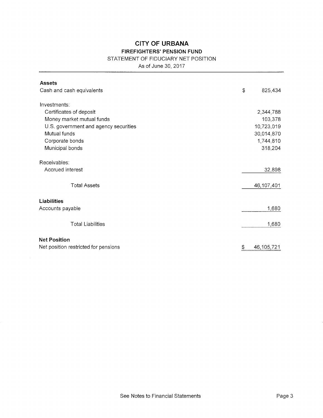# **CITY OF URBANA**

# **FIREFIGHTERS' PENSION FUND**

# STATEMENT OF FIDUCIARY NET POSITION

As of June 30, 2017

| <b>Assets</b>                         |                  |
|---------------------------------------|------------------|
| Cash and cash equivalents             | \$<br>825,434    |
| Investments:                          |                  |
| Certificates of deposit               | 2,344,788        |
| Money market mutual funds             | 103,378          |
| U.S. government and agency securities | 10,723,019       |
| Mutual funds                          | 30,014,870       |
| Corporate bonds                       | 1,744,810        |
| Municipal bonds                       | 318,204          |
|                                       |                  |
| Receivables:                          |                  |
| Accrued interest                      | 32,898           |
|                                       |                  |
| <b>Total Assets</b>                   | 46,107,401       |
|                                       |                  |
| <b>Liabilities</b>                    |                  |
| Accounts payable                      | 1,680            |
|                                       |                  |
| <b>Total Liabilities</b>              | 1,680            |
|                                       |                  |
| <b>Net Position</b>                   |                  |
| Net position restricted for pensions  | \$<br>46,105,721 |
|                                       |                  |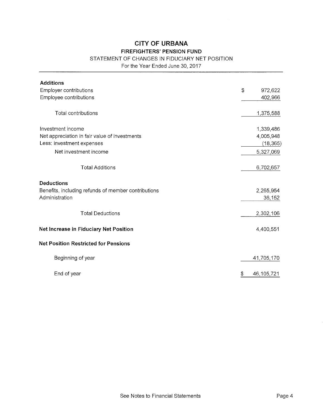# **CITY OF URBANA**

# **FIREFIGHTERS' PENSION FUND**

# STATEMENT OF CHANGES IN FIDUCIARY NET POSITION

For the Year Ended June 30, 2017

| <b>Additions</b>                                                                           |                     |
|--------------------------------------------------------------------------------------------|---------------------|
| Employer contributions                                                                     | \$<br>972,622       |
| Employee contributions                                                                     | 402,966             |
| Total contributions                                                                        | 1,375,588           |
| Investment income                                                                          | 1,339,486           |
| Net appreciation in fair value of investments                                              | 4,005,948           |
| Less: investment expenses                                                                  | (18, 365)           |
| Net investment income                                                                      | 5,327,069           |
| <b>Total Additions</b>                                                                     | 6,702,657           |
| <b>Deductions</b><br>Benefits, including refunds of member contributions<br>Administration | 2,265,954<br>36,152 |
| <b>Total Deductions</b>                                                                    | 2,302,106           |
| Net Increase in Fiduciary Net Position                                                     | 4,400,551           |
| <b>Net Position Restricted for Pensions</b>                                                |                     |
| Beginning of year                                                                          | 41,705,170          |
| End of year                                                                                | 46,105,721<br>\$    |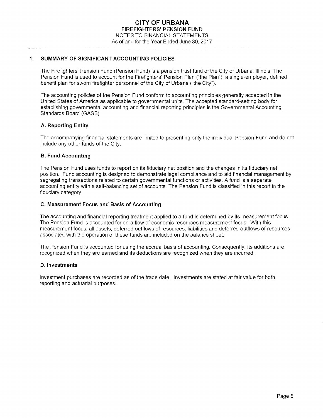# **1. SUMMARY OF SIGNIFICANT ACCOUNTING POLICIES**

The Firefighters' Pension Fund (Pension Fund) is a pension trust fund of the City of Urbana, Illinois. The Pension Fund is used to account for the Firefighters' Pension Plan ("the Plan"), a single-employer, defined benefit plan for sworn firefighter personnel of the City of Urbana ("the City").

The accounting policies of the Pension Fund conform to accounting principles generally accepted in the United States of America as applicable to governmental units. The accepted standard-setting body for establishing governmental accounting and financial reporting principles is the Governmental Accounting Standards Board (GASB).

#### **A. Reporting Entity**

The accompanying financial statements are limited to presenting only the individual Pension Fund and do not include any other funds of the City.

#### **B. Fund Accounting**

The Pension Fund uses funds to report on its fiduciary net position and the changes in its fiduciary net position. Fund accounting is designed to demonstrate legal compliance and to aid financial management by segregating transactions related to certain governmental functions or activities. A fund is a separate accounting entity with a self-balancing set of accounts. The Pension Fund is classified in this report in the fiduciary category.

#### **C. Measurement Focus and Basis of Accounting**

The accounting and financial reporting treatment applied to a fund is determined by its measurement focus. The Pension Fund is accounted for on a flow of economic resources measurement focus. With this measurement focus, all assets, deferred outflows of resources, liabilities and deferred outflows of resources associated with the operation of these funds are included on the balance sheet.

The Pension Fund is accounted for using the accrual basis of accounting. Consequently, its additions are recognized when they are earned and its deductions are recognized when they are incurred.

#### **D. Investments**

Investment purchases are recorded as of the trade date. Investments are stated at fair value for both reporting and actuarial purposes.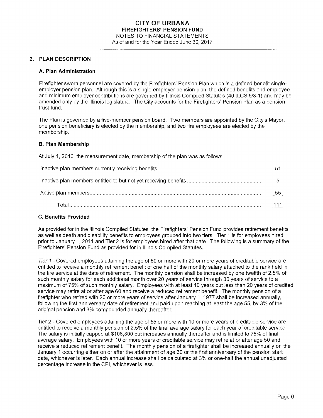#### **2. PLAN DESCRIPTION**

#### **A. Plan Administration**

Firefighter sworn personnel are covered by the Firefighters' Pension Plan which is a defined benefit singleemployer pension plan. Although this is a single-employer pension plan, the defined benefits and employee and minimum employer contributions are governed by Illinois Compiled Statutes (40 ILCS 5/3-1) and may be amended only by the Illinois legislature. The City accounts for the Firefighters' Pension Plan as a pension trust fund.

The Plan is governed by a five-member pension board. Two members are appointed by the City's Mayor, one pension beneficiary is elected by the membership, and two fire employees are elected by the membership.

#### **B. Plan Membership**

At July 1, 2016, the measurement date, membership of the plan was as follows:

| b    |
|------|
| - 55 |
|      |

# **C. Benefits Provided**

As provided for in the Illinois Compiled Statutes, the Firefighters' Pension Fund provides retirement benefits as well as death and disability benefits to employees grouped into two tiers. Tier 1 is for employees hired prior to January 1, 2011 and Tier 2 is for employees hired after that date. The following is a summary of the Firefighters' Pension Fund as provided for in Illinois Compiled Statutes.

Tier 1 - Covered employees attaining the age of 50 or more with 20 or more years of creditable service are entitled to receive a monthly retirement benefit of one half of the monthly salary attached to the rank held in the fire service at the date of retirement. The monthly pension shall be increased by one twelfth of 2.5% of such monthly salary for each additional month over 20 years of service through 30 years of service to a maximum of 75% of such monthly salary. Employees with at least 10 years but less than 20 years of credited service may retire at or after age 60 and receive a reduced retirement benefit. The monthly pension of a firefighter who retired with 20 or more years of service after January 1, 1977 shall be increased annually, following the first anniversary date of retirement and paid upon reaching at least the age 55, by 3% of the original pension and 3% compounded annually thereafter.

Tier 2 - Covered employees attaining the age of 55 or more with 10 or more years of creditable service are entitled to receive a monthly pension of 2.5% of the final average salary for each year of creditable service. The salary is initially capped at \$106,800 but increases annually thereafter and is limited to 75% of final average salary. Employees with 10 or more years of creditable service may retire at or after age 50 and receive a reduced retirement benefit. The monthly pension of a firefighter shall be increased annually on the January 1 occurring either on or after the attainment of age 60 or the first anniversary of the pension start date, whichever is later. Each annual increase shall be calculated at 3% or one-half the annual unadjusted percentage increase in the CPI, whichever is less.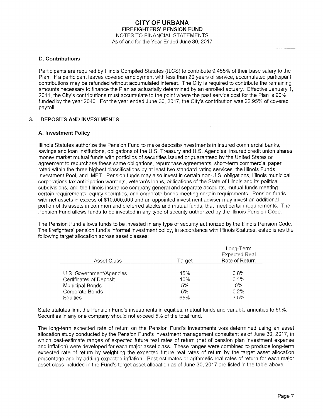#### **D. Contributions**

Participants are required by Illinois Compiled Statutes (ILCS) to contribute 9.455% of their base salary to the Plan. If a participant leaves covered employment with less than 20 years of service, accumulated participant contributions may be refunded without accumulated interest. The City is required to contribute the remaining amounts necessary to finance the Plan as actuarially determined by an enrolled actuary. Effective January 1, 2011, the City's contributions must accumulate to the point where the past service cost for the Plan is 90% funded by the year 2040. For the year ended June 30, 2017, the City's contribution was 22.95% of covered payroll.

#### **3. DEPOSITS AND INVESTMENTS**

#### **A. Investment Policy**

Illinois Statutes authorize the Pension Fund to make deposits/investments in insured commercial banks, savings and loan institutions, obligations of the U.S. Treasury and U.S. Agencies, insured credit union shares, money market mutual funds with portfolios of securities issued or guaranteed by the United States or agreement to repurchase these same obligations, repurchase agreements, short-term commercial paper rated within the three highest classifications by at least two standard rating services, the Illinois Funds Investment Pool, and IMET. Pension funds may also invest in certain non-U.S. obligations, Illinois municipal corporations tax anticipation warrants, veteran's loans, obligations of the State of Illinois and its political subdivisions, and the Illinois insurance company general and separate accounts, mutual funds meeting certain requirements, equity securities, and corporate bonds meeting certain requirements. Pension funds with net assets in excess of \$10,000,000 and an appointed investment adviser may invest an additional portion of its assets in common and preferred stocks and mutual funds, that meet certain requirements. The Pension Fund allows funds to be invested in any type of security authorized by the Illinois Pension Code.

The Pension Fund allows funds to be invested in any type of security authorized by the Illinois Pension Code. The firefighters' pension fund's informal investment policy, in accordance with Illinois Statutes, establishes the following target allocation across asset classes:

| <b>Asset Class</b>       | Target | Long-Term<br><b>Expected Real</b><br>Rate of Return |
|--------------------------|--------|-----------------------------------------------------|
|                          |        |                                                     |
| U.S. Government/Agencies | 15%    | 0.8%                                                |
| Certificates of Deposit  | 10%    | 0.1%                                                |
| Municipal Bonds          | 5%     | $0\%$                                               |
| Corporate Bonds          | 5%     | 0.2%                                                |
| Equities                 | 65%    | 3.5%                                                |

State statutes limit the Pension Fund's investments in equities, mutual funds and variable annuities to 65%. Securities in any one company should not exceed 5% of the total fund.

The long-term expected rate of return on the Pension Fund's investments was determined using an asset allocation study conducted by the Pension Fund's investment management consultant as of June 30, 2017, in which best-estimate ranges of expected future real rates of return (net of pension plan investment expense and inflation) were developed for each major asset class. These ranges were combined to produce long-term expected rate of return by weighting the expected future real rates of return by the target asset allocation percentage and by adding expected inflation. Best estimates or arithmetic real rates of return for each major asset class included in the Fund's target asset allocation as of June 30, 2017 are listed in the table above.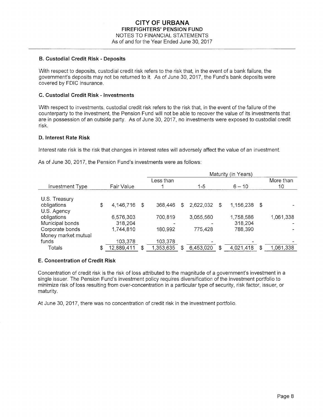#### **B. Custodial Credit Risk - Deposits**

With respect to deposits, custodial credit risk refers to the risk that, in the event of a bank failure, the government's deposits may not be returned to it. As of June 30, 2017, the Fund's bank deposits were covered by FDIC insurance.

#### **C. Custodial Credit Risk - Investments**

With respect to investments, custodial credit risk refers to the risk that, in the event of the failure of the counterparty to the investment, the Pension Fund will not be able to recover the value of its investments that are in possession of an outside party. As of June 30, 2017, no investments were exposed to custodial credit risk.

#### **D. Interest Rate Risk**

Interest rate risk is the risk that changes in interest rates will adversely affect the value of an investment.

As of June 30, 2017, the Pension Fund's investments were as follows:

|                  |      | Maturity (in Years) |   |           |    |           |    |              |
|------------------|------|---------------------|---|-----------|----|-----------|----|--------------|
|                  |      | Less than           |   |           |    |           |    | More than    |
| Fair Value       |      |                     |   | $1 - 5$   |    | $6 - 10$  |    | 10           |
|                  |      |                     |   |           |    |           |    |              |
|                  |      |                     |   |           |    |           |    |              |
| \$<br>4,146,716  | - \$ | 368,446             | S | 2,622,032 | \$ |           |    |              |
|                  |      |                     |   |           |    |           |    |              |
| 6,576,303        |      | 700,819             |   | 3,055,560 |    | 1,758,586 |    | 1,061,338    |
| 318,204          |      |                     |   |           |    | 318,204   |    |              |
| 1,744,810        |      | 180,992             |   | 775,428   |    | 788,390   |    |              |
|                  |      |                     |   |           |    |           |    |              |
| 103,378          |      | 103,378             |   |           |    |           |    |              |
| \$<br>12,889,411 | S    | 1,353,635           | S | 6,453,020 | \$ | 4,021,418 | \$ | 1,061,338    |
|                  |      |                     |   |           |    |           |    | 1,156,238 \$ |

# **E. Concentration of Credit Risk**

Concentration of credit risk is the risk of loss attributed to the magnitude of a government's investment in a single issuer. The Pension Fund's investment policy requires diversification of the investment portfolio to minimize risk of loss resulting from over-concentration in a particular type of security, risk factor, issuer, or maturity.

At June 30, 2017, there was no concentration of credit risk in the investment portfolio.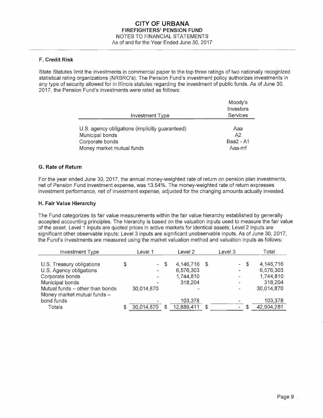# **F. Credit Risk**

State Statutes limit the investments in commercial paper to the top three ratings of two nationally recognized statistical rating organizations (NRSRO's). The Pension Fund's investment policy authorizes investments in any type of security allowed for in Illinois statutes regarding the investment of public funds. As of June 30, 2017, the Pension Fund's investments were rated as follows:

|                                                 | Moody's<br>Investors |
|-------------------------------------------------|----------------------|
| Investment Type                                 | Services             |
|                                                 |                      |
| U.S. agency obligations (implicitly guaranteed) | Ааа                  |
| Municipal bonds                                 | A2                   |
| Corporate bonds                                 | Baa2 - A1            |
| Money market mutual funds                       | Aaa-mf               |

# **G. Rate of Return**

For the year ended June 30, 2017, the annual money-weighted rate of return on pension plan investments, net of Pension Fund investment expense, was 13.54%. The money-weighted rate of return expresses investment performance, net of investment expense, adjusted for the changing amounts actually invested.

#### **H. Fair Value Hierarchy**

The Fund categorizes its fair value measurements within the fair value hierarchy established by generally accepted accounting principles. The hierarchy is based on the valuation inputs used to measure the fair value of the asset. Level 1 inputs are quoted prices in active markets for identical assets; Level 2 inputs are significant other observable inputs; Level 3 inputs are significant unobservable inputs. As of June 30, 2017, the Fund's investments are measured using the market valuation method and valuation inputs as follows:

| Investment Type                 | Level 1 |            | Level 2 |              | Level 3 |                          | Total      |
|---------------------------------|---------|------------|---------|--------------|---------|--------------------------|------------|
|                                 |         |            |         |              |         |                          |            |
| U.S. Treasury obligations       | \$      |            | - \$    | 4,146,716 \$ |         | - \$                     | 4,146,716  |
| U.S. Agency obligations         |         |            |         | 6,576,303    |         |                          | 6,576,303  |
| Corporate bonds                 |         |            |         | 1,744,810    |         |                          | 1,744,810  |
| Municipal bonds                 |         |            |         | 318,204      |         |                          | 318,204    |
| Mutual funds - other than bonds |         | 30.014,870 |         |              |         |                          | 30,014,870 |
| Money market mutual funds -     |         |            |         |              |         |                          |            |
| bond funds                      |         |            |         | 103,378      |         |                          | 103,378    |
| Totals                          | S       | 30,014,870 | \$      | 12,889,411   | \$      | $\overline{\phantom{a}}$ | 42,904,281 |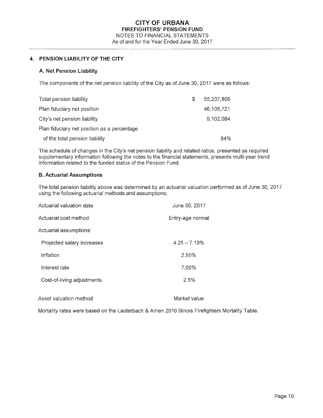# **4. PENSION LIABILITY OF THE CITY**

#### **A. Net Pension Liability**

The components of the net pension liability of the City as of June 30, 2017 were as follows:

| Total pension liability                     | \$. | 55.207.805 |
|---------------------------------------------|-----|------------|
| Plan fiduciary net position                 |     | 46,105,721 |
| City's net pension liability                |     | 9.102.084  |
| Plan fiduciary net position as a percentage |     |            |
| of the total pension liability              |     | 84%        |

The schedule of changes in the City's net pension liability and related ratios, presented as required supplementary information following the notes to the financial statements, presents multi-year trend information related to the funded status of the Pension Fund.

#### **8. Actuarial Assumptions**

The total pension liability above was determined by an actuarial valuation performed as of June 30, 2017 using the following actuarial methods and assumptions:

| Actuarial valuation date   | June 30, 2017    |
|----------------------------|------------------|
| Actuarial cost method      | Entry-age normal |
| Actuarial assumptions:     |                  |
| Projected salary increases | $4.25 - 7.19%$   |
| Inflation                  | 2.50%            |
| Interest rate              | 7.00%            |
| Cost-of-living adjustments | 2.5%             |
| Asset valuation method     | Market value     |

Mortality rates were based on the Lauterbach & Amen 2016 Illinois Firefighters Mortality Table.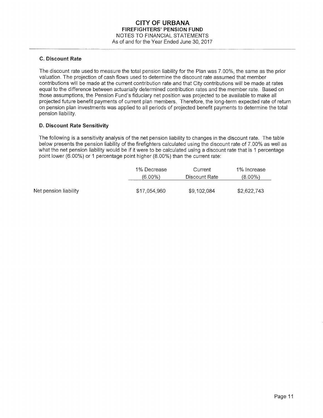#### **C. Discount Rate**

The discount rate used to measure the total pension liability for the Plan was 7.00%, the same as the prior valuation. The projection of cash flows used to determine the discount rate assumed that member contributions will be made at the current contribution rate and that City contributions will be made at rates equal to the difference between actuarially determined contribution rates and the member rate. Based on those assumptions, the Pension Fund's fiduciary net position was projected to be available to make all projected future benefit payments of current plan members. Therefore, the long-term expected rate of return on pension plan investments was applied to all periods of projected benefit payments to determine the total pension liability.

# **D. Discount Rate Sensitivity**

The following is a sensitivity analysis of the net pension liability to changes in the discount rate. The table below presents the pension liability of the firefighters calculated using the discount rate of 7.00% as well as what the net pension liability would be if it were to be calculated using a discount rate that is 1 percentage point lower (6.00%) or 1 percentage point higher (8.00%) than the current rate:

|                       | 1% Decrease  | Current       | 1% Increase |
|-----------------------|--------------|---------------|-------------|
|                       | $(6.00\%)$   | Discount Rate | $(8.00\%)$  |
| Net pension liability | \$17.054.960 | \$9,102,084   | \$2,622,743 |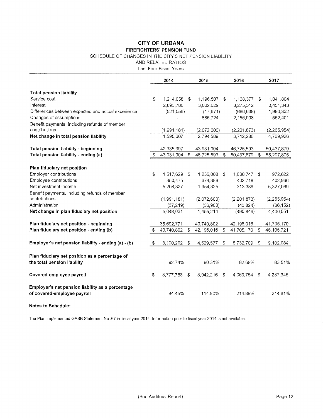# **CITY OF URBANA FIREFIGHTERS' PENSION FUND**

#### SCHEDULE OF CHANGES IN THE CITY'S NET PENSION LIABILITY

AND RELATED RATIOS

Last Four Fiscal Years

|                                                     | 2014             | 2015             | 2016             |      | 2017          |
|-----------------------------------------------------|------------------|------------------|------------------|------|---------------|
|                                                     |                  |                  |                  |      |               |
| <b>Total pension liability</b>                      |                  |                  |                  |      |               |
| Service cost                                        | \$<br>1,214,058  | \$<br>1,196,507  | \$<br>1,168,377  | - \$ | 1,041,804     |
| Interest                                            | 2,893,786        | 3,002,629        | 3,275,512        |      | 3,451,343     |
| Differences between expected and actual experience  | (521,056)        | (17, 671)        | (686, 638)       |      | 1,990,332     |
| Changes of assumptions                              |                  | 685,724          | 2,156,908        |      | 552,401       |
| Benefit payments, including refunds of member       |                  |                  |                  |      |               |
| contributions                                       | (1,991,181)      | (2,072,600)      | (2,201,873)      |      | (2, 265, 954) |
| Net change in total pension liability               | 1,595,607        | 2,794,589        | 3,712,286        |      | 4,769,926     |
| Total pension liability - beginning                 | 42,335,397       | 43,931,004       | 46,725,593       |      | 50,437,879    |
| Total pension liability - ending (a)                | \$<br>43,931,004 | \$<br>46,725,593 | \$<br>50,437,879 | \$   | 55,207,805    |
|                                                     |                  |                  |                  |      |               |
| Plan fiduciary net position                         |                  |                  |                  |      |               |
| Employer contributions                              | \$<br>1,517,629  | \$<br>1,236,008  | \$<br>1,038,747  | \$   | 972,622       |
| Employee contributions                              | 350,475          | 374,389          | 402,718          |      | 402,966       |
| Net investment income                               | 5,208,327        | 1,954,325        | 313,386          |      | 5,327,069     |
| Benefit payments, including refunds of member       |                  |                  |                  |      |               |
| contributions                                       | (1,991,181)      | (2,072,600)      | (2, 201, 873)    |      | (2, 265, 954) |
| Administration                                      | (37, 219)        | (36, 908)        | (43, 824)        |      | (36, 152)     |
| Net change in plan fiduciary net position           | 5,048,031        | 1,455,214        | (490, 846)       |      | 4,400,551     |
| Plan fiduciary net position - beginning             | 35,692,771       | 40,740,802       | 42,196,016       |      | 41,705,170    |
| Plan fiduciary net position - ending (b)            | 40,740,802       | \$<br>42,196,016 | \$<br>41,705,170 | \$   | 46,105,721    |
|                                                     |                  |                  |                  |      |               |
| Employer's net pension liability - ending (a) - (b) | \$<br>3,190,202  | \$<br>4,529,577  | \$<br>8,732,709  | \$   | 9,102,084     |
| Plan fiduciary net position as a percentage of      |                  |                  |                  |      |               |
| the total pension liability                         | 92.74%           | 90.31%           | 82.69%           |      | 83.51%        |
|                                                     |                  |                  |                  |      |               |
| Covered-employee payroll                            | \$<br>3,777,788  | \$<br>3,942,216  | \$<br>4,063,754  | \$   | 4,237,345     |
| Employer's net pension liability as a percentage    |                  |                  |                  |      |               |
| of covered-employee payroll                         | 84.45%           | 114.90%          | 214.89%          |      | 214.81%       |
|                                                     |                  |                  |                  |      |               |

**Notes to Schedule:** 

The Plan implemented GASB Statement No .67 in fiscal year 2014. Information prior to fiscal year 2014 is not available.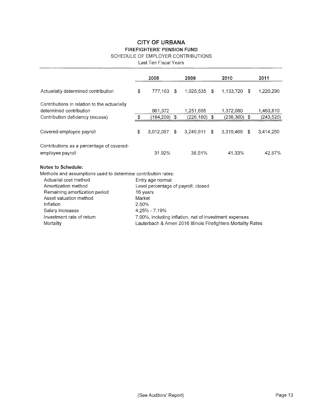# **CITY OF URBANA FIREFIGHTERS' PENSION FUND**

# SCHEDULE OF EMPLOYER CONTRIBUTIONS

Last Ten Fiscal Years

|                                                                                                                                                                                                                                                                           |                 | 2008                                              | 2009                                                                                                                                                          |      | 2010           | 2011            |
|---------------------------------------------------------------------------------------------------------------------------------------------------------------------------------------------------------------------------------------------------------------------------|-----------------|---------------------------------------------------|---------------------------------------------------------------------------------------------------------------------------------------------------------------|------|----------------|-----------------|
| Actuarially determined contribution                                                                                                                                                                                                                                       | \$              | 777.163                                           | \$<br>1,025,535                                                                                                                                               | - \$ | 1,133,720 \$   | 1,220,290       |
| Contributions in relation to the actuarially<br>determined contribution                                                                                                                                                                                                   |                 | 961,372                                           | 1,251,695                                                                                                                                                     |      | 1,372,080      | 1,463,810       |
| Contribution deficiency (excess)                                                                                                                                                                                                                                          | \$              | (184,209)                                         | \$<br>(226,160)                                                                                                                                               | \$   | $(238,360)$ \$ | (243, 520)      |
| Covered-employee payroll                                                                                                                                                                                                                                                  | \$              | 3,012,087                                         | \$<br>3,249,911                                                                                                                                               | -\$  | 3,319,469      | \$<br>3,414,250 |
| Contributions as a percentage of covered-                                                                                                                                                                                                                                 |                 |                                                   |                                                                                                                                                               |      |                |                 |
| employee payroll                                                                                                                                                                                                                                                          |                 | 31.92%                                            | 38.51%                                                                                                                                                        |      | 41.33%         | 42.87%          |
| Notes to Schedule:<br>Methods and assumptions used to determine contribution rates:<br>Actuarial cost method<br>Amortization method<br>Remaining amortization period<br>Asset valuation method<br>Inflation<br>Salary increases<br>Investment rate of return<br>Mortality | Market<br>2.50% | Entry age normal<br>16 years<br>$4.25\% - 7.19\%$ | Level percentage of payroll, closed<br>7.00%, including inflation, net of investment expenses<br>Lauterbach & Amen 2016 Illinois Firefighters Mortality Rates |      |                |                 |

 $\sim$   $\alpha$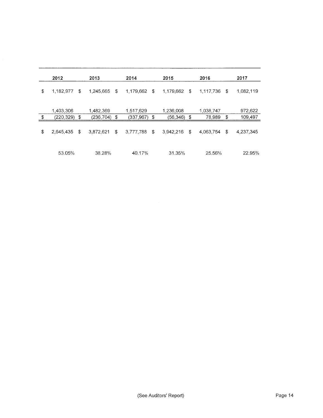| 2012                                | 2013                          | 2014                         | 2015                        | 2016                      | 2017               |
|-------------------------------------|-------------------------------|------------------------------|-----------------------------|---------------------------|--------------------|
| \$<br>1,182,977<br>\$               | \$<br>1,245,665               | 1,179,662<br>\$              | 1,179,662<br>\$             | 1,117,736<br>\$           | 1,082,119          |
| \$<br>1,403,306<br>(220, 329)<br>\$ | 1,482,369<br>\$<br>(236, 704) | 1,517,629<br>\$<br>(337,967) | 1,236,008<br>\$<br>(56,346) | 1,038,747<br>\$<br>78,989 | 972,622<br>109,497 |
| \$<br>\$<br>2.645,435               | \$<br>3,872,621               | 3,777,788<br>\$              | 3,942,216<br>\$             | \$<br>4.063,754           | 4,237,345          |
| 53.05%                              | 38.28%                        | 40.17%                       | 31.35%                      | 25.56%                    | 22.95%             |